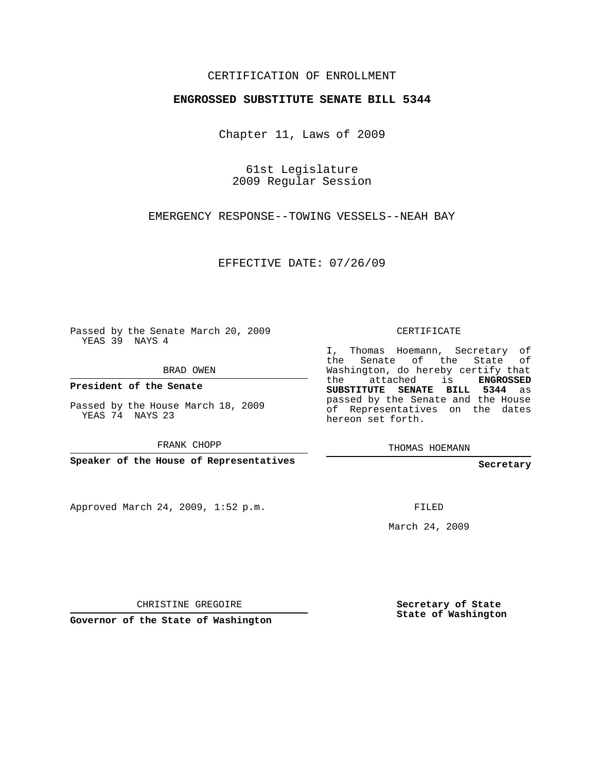## CERTIFICATION OF ENROLLMENT

## **ENGROSSED SUBSTITUTE SENATE BILL 5344**

Chapter 11, Laws of 2009

61st Legislature 2009 Regular Session

EMERGENCY RESPONSE--TOWING VESSELS--NEAH BAY

EFFECTIVE DATE: 07/26/09

Passed by the Senate March 20, 2009 YEAS 39 NAYS 4

BRAD OWEN

**President of the Senate**

Passed by the House March 18, 2009 YEAS 74 NAYS 23

FRANK CHOPP

**Speaker of the House of Representatives**

Approved March 24, 2009, 1:52 p.m.

CERTIFICATE

I, Thomas Hoemann, Secretary of the Senate of the State of Washington, do hereby certify that the attached is **ENGROSSED SUBSTITUTE SENATE BILL 5344** as passed by the Senate and the House of Representatives on the dates hereon set forth.

THOMAS HOEMANN

**Secretary**

FILED

March 24, 2009

CHRISTINE GREGOIRE

**Governor of the State of Washington**

**Secretary of State State of Washington**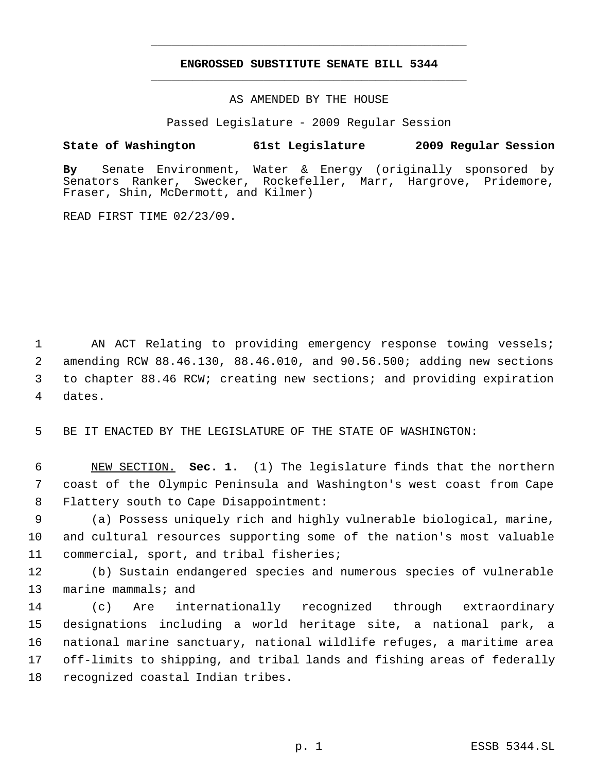## **ENGROSSED SUBSTITUTE SENATE BILL 5344** \_\_\_\_\_\_\_\_\_\_\_\_\_\_\_\_\_\_\_\_\_\_\_\_\_\_\_\_\_\_\_\_\_\_\_\_\_\_\_\_\_\_\_\_\_

\_\_\_\_\_\_\_\_\_\_\_\_\_\_\_\_\_\_\_\_\_\_\_\_\_\_\_\_\_\_\_\_\_\_\_\_\_\_\_\_\_\_\_\_\_

AS AMENDED BY THE HOUSE

Passed Legislature - 2009 Regular Session

## **State of Washington 61st Legislature 2009 Regular Session**

**By** Senate Environment, Water & Energy (originally sponsored by Senators Ranker, Swecker, Rockefeller, Marr, Hargrove, Pridemore, Fraser, Shin, McDermott, and Kilmer)

READ FIRST TIME 02/23/09.

1 AN ACT Relating to providing emergency response towing vessels; 2 amending RCW 88.46.130, 88.46.010, and 90.56.500; adding new sections 3 to chapter 88.46 RCW; creating new sections; and providing expiration 4 dates.

5 BE IT ENACTED BY THE LEGISLATURE OF THE STATE OF WASHINGTON:

 6 NEW SECTION. **Sec. 1.** (1) The legislature finds that the northern 7 coast of the Olympic Peninsula and Washington's west coast from Cape 8 Flattery south to Cape Disappointment:

 9 (a) Possess uniquely rich and highly vulnerable biological, marine, 10 and cultural resources supporting some of the nation's most valuable 11 commercial, sport, and tribal fisheries;

12 (b) Sustain endangered species and numerous species of vulnerable 13 marine mammals; and

 (c) Are internationally recognized through extraordinary designations including a world heritage site, a national park, a national marine sanctuary, national wildlife refuges, a maritime area off-limits to shipping, and tribal lands and fishing areas of federally recognized coastal Indian tribes.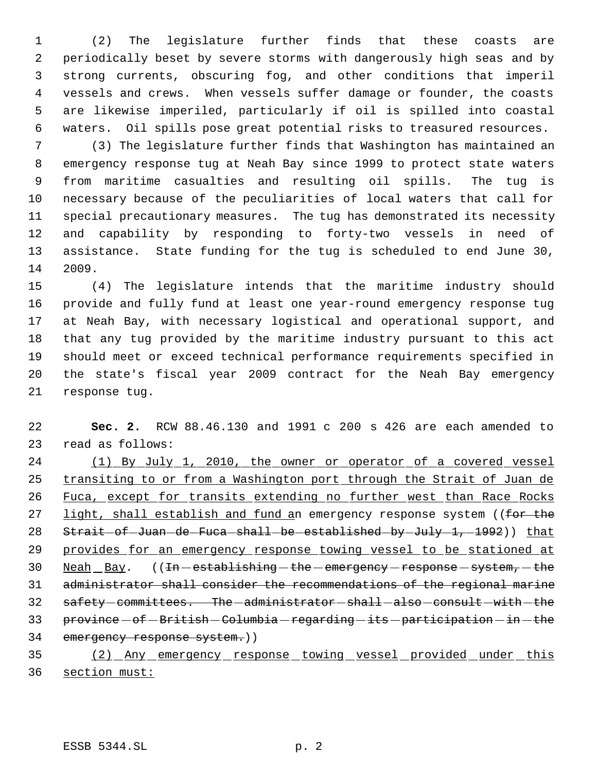(2) The legislature further finds that these coasts are periodically beset by severe storms with dangerously high seas and by strong currents, obscuring fog, and other conditions that imperil vessels and crews. When vessels suffer damage or founder, the coasts are likewise imperiled, particularly if oil is spilled into coastal waters. Oil spills pose great potential risks to treasured resources.

 (3) The legislature further finds that Washington has maintained an emergency response tug at Neah Bay since 1999 to protect state waters from maritime casualties and resulting oil spills. The tug is necessary because of the peculiarities of local waters that call for special precautionary measures. The tug has demonstrated its necessity and capability by responding to forty-two vessels in need of assistance. State funding for the tug is scheduled to end June 30, 2009.

 (4) The legislature intends that the maritime industry should provide and fully fund at least one year-round emergency response tug at Neah Bay, with necessary logistical and operational support, and that any tug provided by the maritime industry pursuant to this act should meet or exceed technical performance requirements specified in the state's fiscal year 2009 contract for the Neah Bay emergency response tug.

 **Sec. 2.** RCW 88.46.130 and 1991 c 200 s 426 are each amended to read as follows:

 (1) By July 1, 2010, the owner or operator of a covered vessel 25 transiting to or from a Washington port through the Strait of Juan de 26 Fuca, except for transits extending no further west than Race Rocks 27 light, shall establish and fund an emergency response system ((for the 28 Strait-of-Juan-de-Fuca-shall-be-established-by-July-1,-1992)) that provides for an emergency response towing vessel to be stationed at 30 Neah Bay. ((In - establishing - the - emergency - response - system, - the administrator shall consider the recommendations of the regional marine 32 safety-committees. The-administrator-shall-also-consult-with-the 33 province - of - British - Columbia - regarding - its - participation - in - the emergency response system.))

 (2) Any emergency response towing vessel provided under this section must: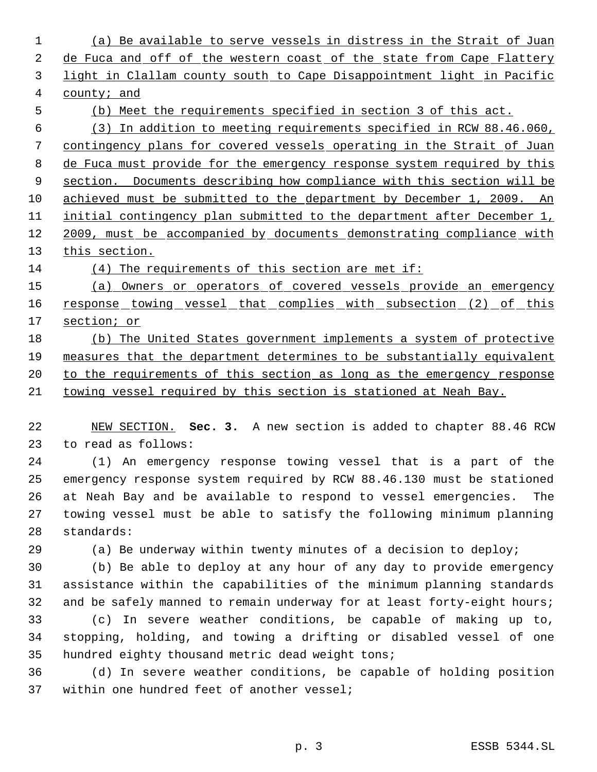(a) Be available to serve vessels in distress in the Strait of Juan 2 de Fuca and off of the western coast of the state from Cape Flattery light in Clallam county south to Cape Disappointment light in Pacific county; and (b) Meet the requirements specified in section 3 of this act. (3) In addition to meeting requirements specified in RCW 88.46.060, contingency plans for covered vessels operating in the Strait of Juan 8 de Fuca must provide for the emergency response system required by this section. Documents describing how compliance with this section will be achieved must be submitted to the department by December 1, 2009. An initial contingency plan submitted to the department after December 1, 12 2009, must be accompanied by documents demonstrating compliance with 13 this section. (4) The requirements of this section are met if: (a) Owners or operators of covered vessels provide an emergency 16 response towing vessel that complies with subsection (2) of this section; or (b) The United States government implements a system of protective measures that the department determines to be substantially equivalent 20 to the requirements of this section as long as the emergency response towing vessel required by this section is stationed at Neah Bay. NEW SECTION. **Sec. 3.** A new section is added to chapter 88.46 RCW to read as follows: (1) An emergency response towing vessel that is a part of the emergency response system required by RCW 88.46.130 must be stationed at Neah Bay and be available to respond to vessel emergencies. The towing vessel must be able to satisfy the following minimum planning standards: (a) Be underway within twenty minutes of a decision to deploy; (b) Be able to deploy at any hour of any day to provide emergency assistance within the capabilities of the minimum planning standards 32 and be safely manned to remain underway for at least forty-eight hours; (c) In severe weather conditions, be capable of making up to, stopping, holding, and towing a drifting or disabled vessel of one hundred eighty thousand metric dead weight tons; (d) In severe weather conditions, be capable of holding position within one hundred feet of another vessel;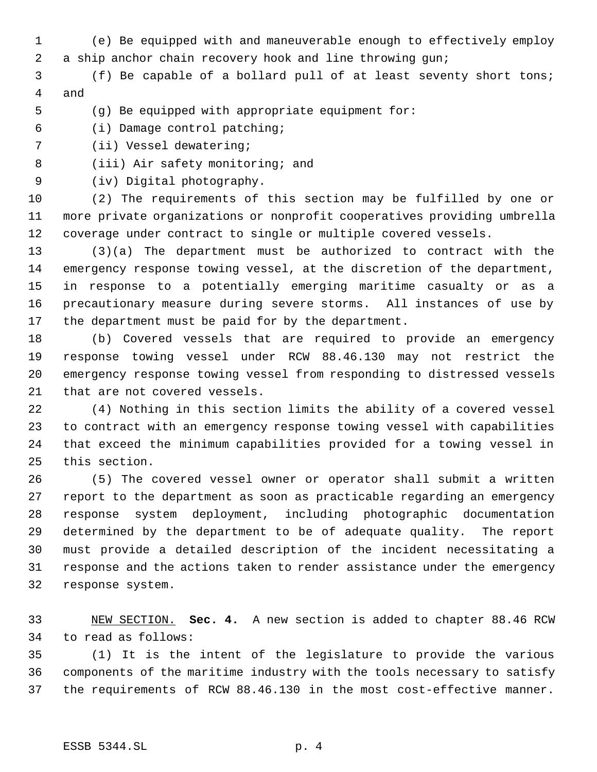- (e) Be equipped with and maneuverable enough to effectively employ a ship anchor chain recovery hook and line throwing gun;
- (f) Be capable of a bollard pull of at least seventy short tons; and
- (g) Be equipped with appropriate equipment for:
- (i) Damage control patching;
- (ii) Vessel dewatering;
- (iii) Air safety monitoring; and
- (iv) Digital photography.

 (2) The requirements of this section may be fulfilled by one or more private organizations or nonprofit cooperatives providing umbrella coverage under contract to single or multiple covered vessels.

 (3)(a) The department must be authorized to contract with the emergency response towing vessel, at the discretion of the department, in response to a potentially emerging maritime casualty or as a precautionary measure during severe storms. All instances of use by the department must be paid for by the department.

 (b) Covered vessels that are required to provide an emergency response towing vessel under RCW 88.46.130 may not restrict the emergency response towing vessel from responding to distressed vessels that are not covered vessels.

 (4) Nothing in this section limits the ability of a covered vessel to contract with an emergency response towing vessel with capabilities that exceed the minimum capabilities provided for a towing vessel in this section.

 (5) The covered vessel owner or operator shall submit a written report to the department as soon as practicable regarding an emergency response system deployment, including photographic documentation determined by the department to be of adequate quality. The report must provide a detailed description of the incident necessitating a response and the actions taken to render assistance under the emergency response system.

 NEW SECTION. **Sec. 4.** A new section is added to chapter 88.46 RCW to read as follows:

 (1) It is the intent of the legislature to provide the various components of the maritime industry with the tools necessary to satisfy the requirements of RCW 88.46.130 in the most cost-effective manner.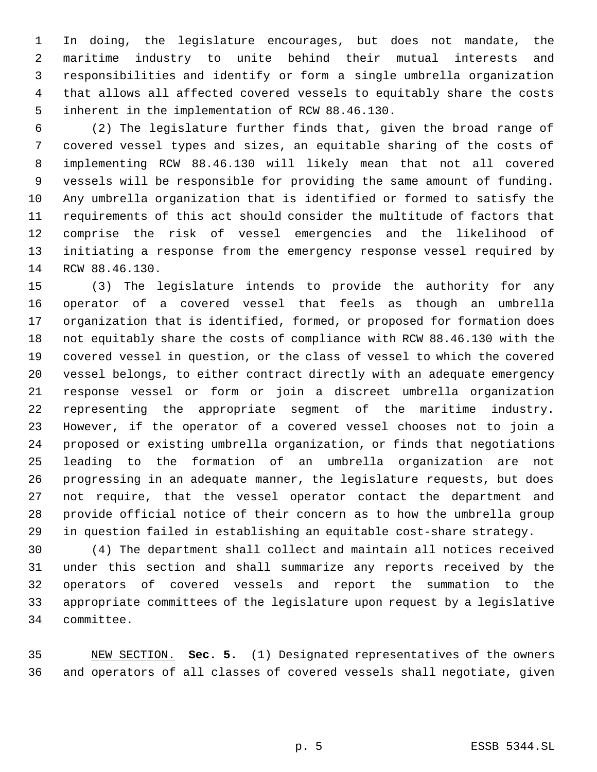In doing, the legislature encourages, but does not mandate, the maritime industry to unite behind their mutual interests and responsibilities and identify or form a single umbrella organization that allows all affected covered vessels to equitably share the costs inherent in the implementation of RCW 88.46.130.

 (2) The legislature further finds that, given the broad range of covered vessel types and sizes, an equitable sharing of the costs of implementing RCW 88.46.130 will likely mean that not all covered vessels will be responsible for providing the same amount of funding. Any umbrella organization that is identified or formed to satisfy the requirements of this act should consider the multitude of factors that comprise the risk of vessel emergencies and the likelihood of initiating a response from the emergency response vessel required by RCW 88.46.130.

 (3) The legislature intends to provide the authority for any operator of a covered vessel that feels as though an umbrella organization that is identified, formed, or proposed for formation does not equitably share the costs of compliance with RCW 88.46.130 with the covered vessel in question, or the class of vessel to which the covered vessel belongs, to either contract directly with an adequate emergency response vessel or form or join a discreet umbrella organization representing the appropriate segment of the maritime industry. However, if the operator of a covered vessel chooses not to join a proposed or existing umbrella organization, or finds that negotiations leading to the formation of an umbrella organization are not progressing in an adequate manner, the legislature requests, but does not require, that the vessel operator contact the department and provide official notice of their concern as to how the umbrella group in question failed in establishing an equitable cost-share strategy.

 (4) The department shall collect and maintain all notices received under this section and shall summarize any reports received by the operators of covered vessels and report the summation to the appropriate committees of the legislature upon request by a legislative committee.

 NEW SECTION. **Sec. 5.** (1) Designated representatives of the owners and operators of all classes of covered vessels shall negotiate, given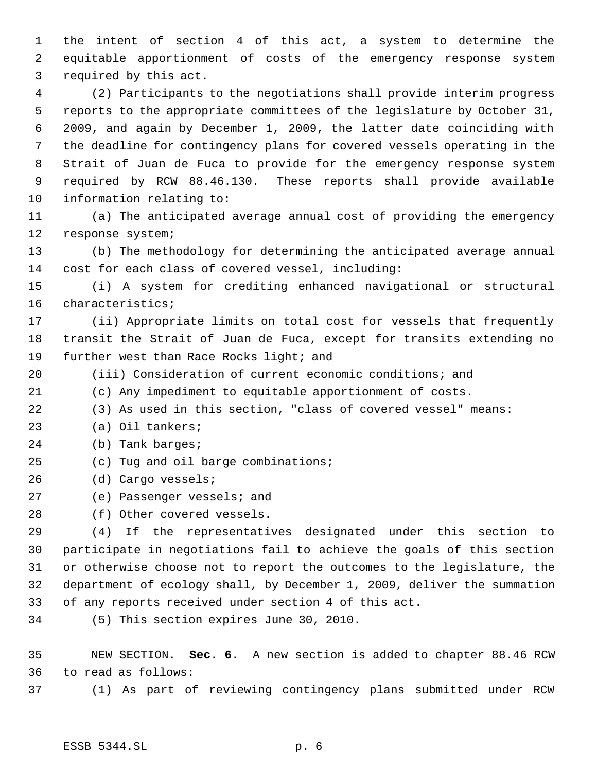the intent of section 4 of this act, a system to determine the equitable apportionment of costs of the emergency response system required by this act.

 (2) Participants to the negotiations shall provide interim progress reports to the appropriate committees of the legislature by October 31, 2009, and again by December 1, 2009, the latter date coinciding with the deadline for contingency plans for covered vessels operating in the Strait of Juan de Fuca to provide for the emergency response system required by RCW 88.46.130. These reports shall provide available information relating to:

 (a) The anticipated average annual cost of providing the emergency response system;

 (b) The methodology for determining the anticipated average annual cost for each class of covered vessel, including:

 (i) A system for crediting enhanced navigational or structural characteristics;

 (ii) Appropriate limits on total cost for vessels that frequently transit the Strait of Juan de Fuca, except for transits extending no 19 further west than Race Rocks light; and

- (iii) Consideration of current economic conditions; and
- (c) Any impediment to equitable apportionment of costs.
- (3) As used in this section, "class of covered vessel" means:
- (a) Oil tankers;
- (b) Tank barges;
- (c) Tug and oil barge combinations;
- (d) Cargo vessels;
- (e) Passenger vessels; and
- (f) Other covered vessels.

 (4) If the representatives designated under this section to participate in negotiations fail to achieve the goals of this section or otherwise choose not to report the outcomes to the legislature, the department of ecology shall, by December 1, 2009, deliver the summation of any reports received under section 4 of this act.

(5) This section expires June 30, 2010.

 NEW SECTION. **Sec. 6.** A new section is added to chapter 88.46 RCW to read as follows:

(1) As part of reviewing contingency plans submitted under RCW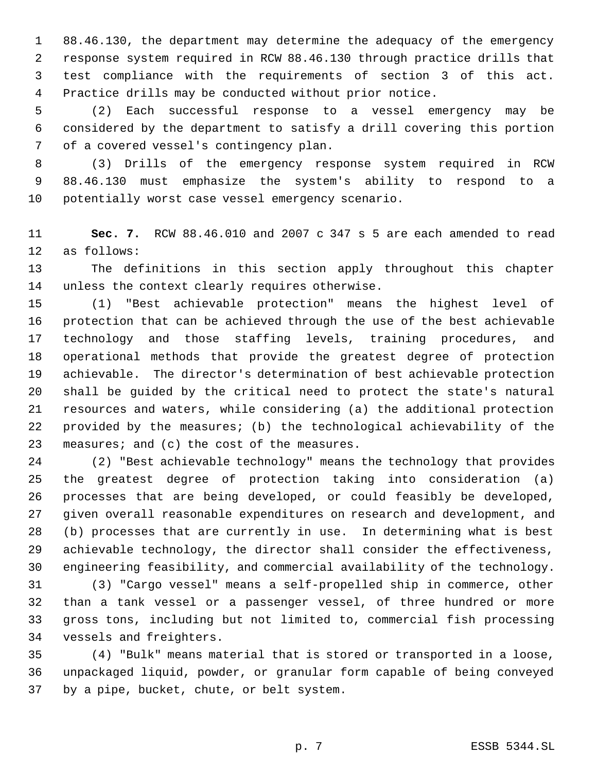88.46.130, the department may determine the adequacy of the emergency response system required in RCW 88.46.130 through practice drills that test compliance with the requirements of section 3 of this act. Practice drills may be conducted without prior notice.

 (2) Each successful response to a vessel emergency may be considered by the department to satisfy a drill covering this portion of a covered vessel's contingency plan.

 (3) Drills of the emergency response system required in RCW 88.46.130 must emphasize the system's ability to respond to a potentially worst case vessel emergency scenario.

 **Sec. 7.** RCW 88.46.010 and 2007 c 347 s 5 are each amended to read as follows:

 The definitions in this section apply throughout this chapter unless the context clearly requires otherwise.

 (1) "Best achievable protection" means the highest level of protection that can be achieved through the use of the best achievable technology and those staffing levels, training procedures, and operational methods that provide the greatest degree of protection achievable. The director's determination of best achievable protection shall be guided by the critical need to protect the state's natural resources and waters, while considering (a) the additional protection provided by the measures; (b) the technological achievability of the 23 measures; and (c) the cost of the measures.

 (2) "Best achievable technology" means the technology that provides the greatest degree of protection taking into consideration (a) processes that are being developed, or could feasibly be developed, given overall reasonable expenditures on research and development, and (b) processes that are currently in use. In determining what is best achievable technology, the director shall consider the effectiveness, engineering feasibility, and commercial availability of the technology.

 (3) "Cargo vessel" means a self-propelled ship in commerce, other than a tank vessel or a passenger vessel, of three hundred or more gross tons, including but not limited to, commercial fish processing vessels and freighters.

 (4) "Bulk" means material that is stored or transported in a loose, unpackaged liquid, powder, or granular form capable of being conveyed by a pipe, bucket, chute, or belt system.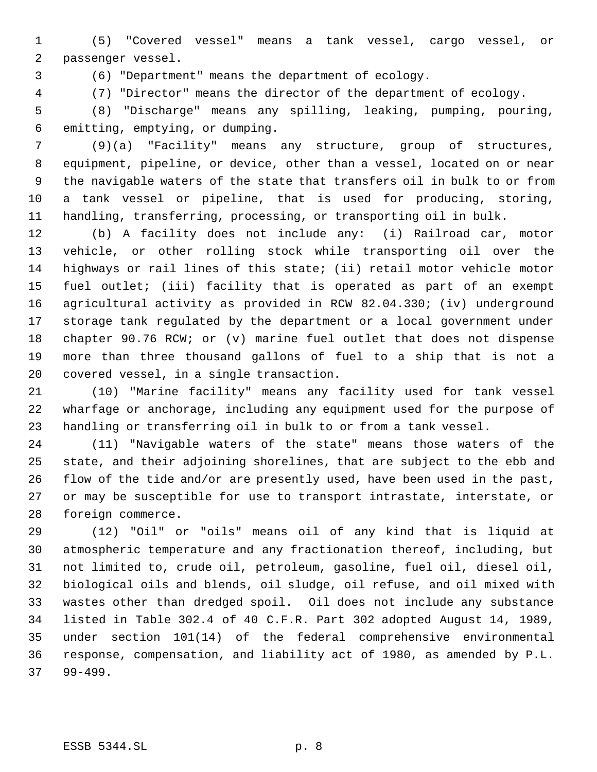(5) "Covered vessel" means a tank vessel, cargo vessel, or passenger vessel.

(6) "Department" means the department of ecology.

(7) "Director" means the director of the department of ecology.

 (8) "Discharge" means any spilling, leaking, pumping, pouring, emitting, emptying, or dumping.

 (9)(a) "Facility" means any structure, group of structures, equipment, pipeline, or device, other than a vessel, located on or near the navigable waters of the state that transfers oil in bulk to or from a tank vessel or pipeline, that is used for producing, storing, handling, transferring, processing, or transporting oil in bulk.

 (b) A facility does not include any: (i) Railroad car, motor vehicle, or other rolling stock while transporting oil over the highways or rail lines of this state; (ii) retail motor vehicle motor fuel outlet; (iii) facility that is operated as part of an exempt agricultural activity as provided in RCW 82.04.330; (iv) underground storage tank regulated by the department or a local government under chapter 90.76 RCW; or (v) marine fuel outlet that does not dispense more than three thousand gallons of fuel to a ship that is not a covered vessel, in a single transaction.

 (10) "Marine facility" means any facility used for tank vessel wharfage or anchorage, including any equipment used for the purpose of handling or transferring oil in bulk to or from a tank vessel.

 (11) "Navigable waters of the state" means those waters of the state, and their adjoining shorelines, that are subject to the ebb and flow of the tide and/or are presently used, have been used in the past, or may be susceptible for use to transport intrastate, interstate, or foreign commerce.

 (12) "Oil" or "oils" means oil of any kind that is liquid at atmospheric temperature and any fractionation thereof, including, but not limited to, crude oil, petroleum, gasoline, fuel oil, diesel oil, biological oils and blends, oil sludge, oil refuse, and oil mixed with wastes other than dredged spoil. Oil does not include any substance listed in Table 302.4 of 40 C.F.R. Part 302 adopted August 14, 1989, under section 101(14) of the federal comprehensive environmental response, compensation, and liability act of 1980, as amended by P.L. 99-499.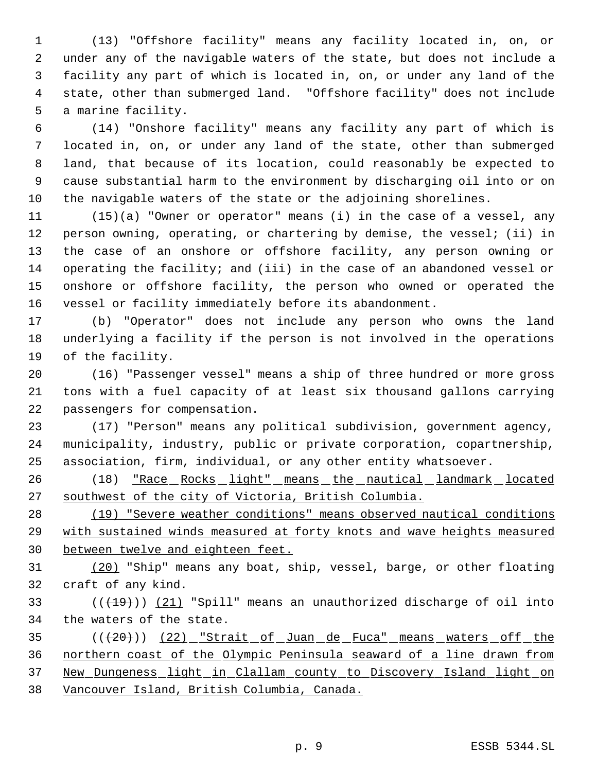(13) "Offshore facility" means any facility located in, on, or under any of the navigable waters of the state, but does not include a facility any part of which is located in, on, or under any land of the state, other than submerged land. "Offshore facility" does not include a marine facility.

 (14) "Onshore facility" means any facility any part of which is located in, on, or under any land of the state, other than submerged land, that because of its location, could reasonably be expected to cause substantial harm to the environment by discharging oil into or on the navigable waters of the state or the adjoining shorelines.

 (15)(a) "Owner or operator" means (i) in the case of a vessel, any person owning, operating, or chartering by demise, the vessel; (ii) in the case of an onshore or offshore facility, any person owning or operating the facility; and (iii) in the case of an abandoned vessel or onshore or offshore facility, the person who owned or operated the vessel or facility immediately before its abandonment.

 (b) "Operator" does not include any person who owns the land underlying a facility if the person is not involved in the operations of the facility.

 (16) "Passenger vessel" means a ship of three hundred or more gross tons with a fuel capacity of at least six thousand gallons carrying passengers for compensation.

 (17) "Person" means any political subdivision, government agency, municipality, industry, public or private corporation, copartnership, association, firm, individual, or any other entity whatsoever.

26 (18) <u>"Race Rocks light" means the nautical landmark located</u> southwest of the city of Victoria, British Columbia.

 (19) "Severe weather conditions" means observed nautical conditions with sustained winds measured at forty knots and wave heights measured between twelve and eighteen feet.

 (20) "Ship" means any boat, ship, vessel, barge, or other floating craft of any kind.

33  $((+19))$   $(21)$  "Spill" means an unauthorized discharge of oil into the waters of the state.

35 (( $(20)$ ) (22) "Strait of Juan de Fuca" means waters off the northern coast of the Olympic Peninsula seaward of a line drawn from New Dungeness light in Clallam county to Discovery Island light on Vancouver Island, British Columbia, Canada.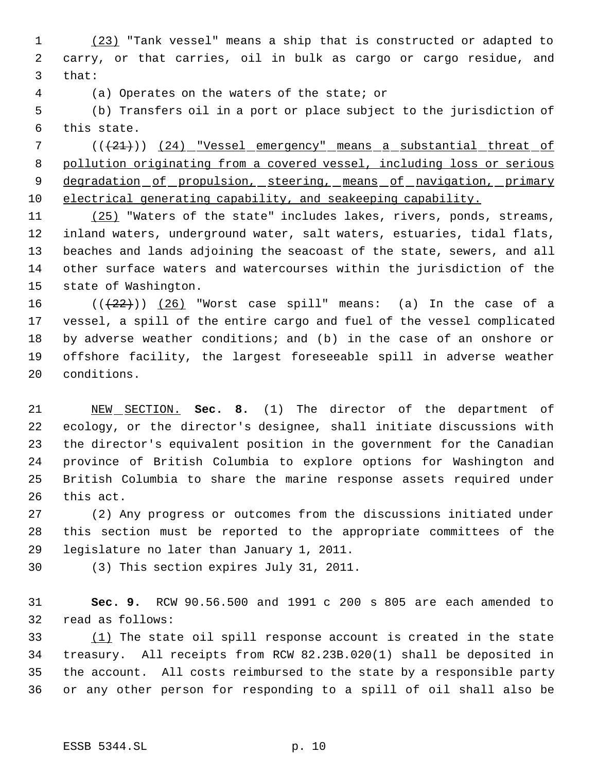(23) "Tank vessel" means a ship that is constructed or adapted to carry, or that carries, oil in bulk as cargo or cargo residue, and that:

(a) Operates on the waters of the state; or

 (b) Transfers oil in a port or place subject to the jurisdiction of this state.

7 (( $(21)$ ) (24) "Vessel emergency" means a substantial threat of pollution originating from a covered vessel, including loss or serious 9 degradation of propulsion, steering, means of navigation, primary 10 electrical generating capability, and seakeeping capability.

11 (25) "Waters of the state" includes lakes, rivers, ponds, streams, inland waters, underground water, salt waters, estuaries, tidal flats, beaches and lands adjoining the seacoast of the state, sewers, and all other surface waters and watercourses within the jurisdiction of the state of Washington.

 $((22))$   $(26)$  "Worst case spill" means: (a) In the case of a vessel, a spill of the entire cargo and fuel of the vessel complicated by adverse weather conditions; and (b) in the case of an onshore or offshore facility, the largest foreseeable spill in adverse weather conditions.

 NEW SECTION. **Sec. 8.** (1) The director of the department of ecology, or the director's designee, shall initiate discussions with the director's equivalent position in the government for the Canadian province of British Columbia to explore options for Washington and British Columbia to share the marine response assets required under this act.

 (2) Any progress or outcomes from the discussions initiated under this section must be reported to the appropriate committees of the legislature no later than January 1, 2011.

(3) This section expires July 31, 2011.

 **Sec. 9.** RCW 90.56.500 and 1991 c 200 s 805 are each amended to read as follows:

33 (1) The state oil spill response account is created in the state treasury. All receipts from RCW 82.23B.020(1) shall be deposited in the account. All costs reimbursed to the state by a responsible party or any other person for responding to a spill of oil shall also be